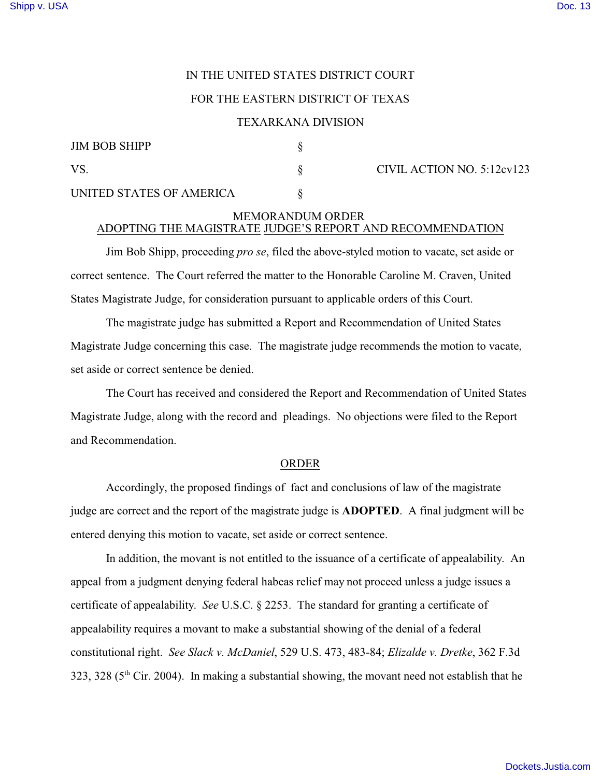# IN THE UNITED STATES DISTRICT COURT

## FOR THE EASTERN DISTRICT OF TEXAS

#### TEXARKANA DIVISION

| <b>JIM BOB SHIPP</b><br>VS. |  |
|-----------------------------|--|
|                             |  |

 $\text{V}$ S.  $\text{CIVIL}$  ACTION NO. 5:12cv123

UNITED STATES OF AMERICA  $\S$ 

## MEMORANDUM ORDER ADOPTING THE MAGISTRATE JUDGE'S REPORT AND RECOMMENDATION

Jim Bob Shipp, proceeding *pro se*, filed the above-styled motion to vacate, set aside or correct sentence. The Court referred the matter to the Honorable Caroline M. Craven, United States Magistrate Judge, for consideration pursuant to applicable orders of this Court.

The magistrate judge has submitted a Report and Recommendation of United States Magistrate Judge concerning this case. The magistrate judge recommends the motion to vacate, set aside or correct sentence be denied.

The Court has received and considered the Report and Recommendation of United States Magistrate Judge, along with the record and pleadings. No objections were filed to the Report and Recommendation.

### ORDER

Accordingly, the proposed findings of fact and conclusions of law of the magistrate judge are correct and the report of the magistrate judge is **ADOPTED**. A final judgment will be entered denying this motion to vacate, set aside or correct sentence.

In addition, the movant is not entitled to the issuance of a certificate of appealability. An appeal from a judgment denying federal habeas relief may not proceed unless a judge issues a certificate of appealability. *See* U.S.C. § 2253. The standard for granting a certificate of appealability requires a movant to make a substantial showing of the denial of a federal constitutional right. *See Slack v. McDaniel*, 529 U.S. 473, 483-84; *Elizalde v. Dretke*, 362 F.3d  $323, 328$  (5<sup>th</sup> Cir. 2004). In making a substantial showing, the movant need not establish that he